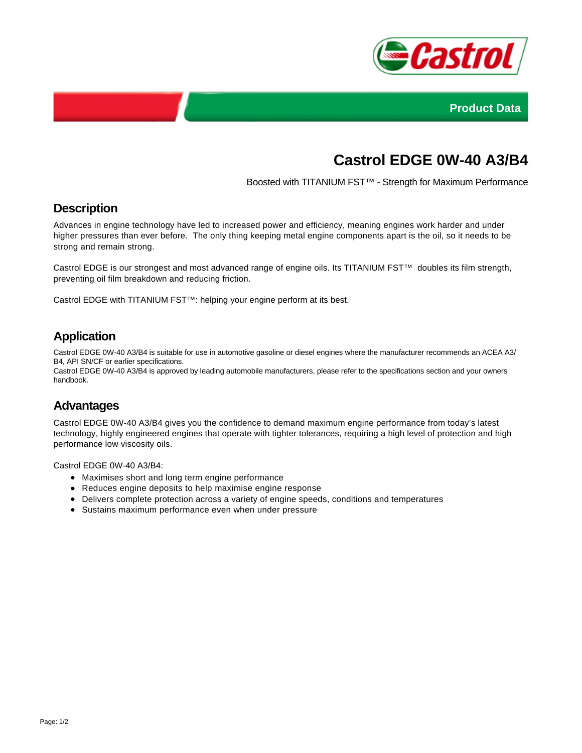



# **Castrol EDGE 0W-40 A3/B4**

Boosted with TITANIUM FST™ - Strength for Maximum Performance

## **Description**

Advances in engine technology have led to increased power and efficiency, meaning engines work harder and under higher pressures than ever before. The only thing keeping metal engine components apart is the oil, so it needs to be strong and remain strong.

Castrol EDGE is our strongest and most advanced range of engine oils. Its TITANIUM FST™ doubles its film strength, preventing oil film breakdown and reducing friction.

Castrol EDGE with TITANIUM FST™: helping your engine perform at its best.

## **Application**

Castrol EDGE 0W-40 A3/B4 is suitable for use in automotive gasoline or diesel engines where the manufacturer recommends an ACEA A3/ B4, API SN/CF or earlier specifications.

Castrol EDGE 0W-40 A3/B4 is approved by leading automobile manufacturers, please refer to the specifications section and your owners handbook.

#### **Advantages**

Castrol EDGE 0W-40 A3/B4 gives you the confidence to demand maximum engine performance from today's latest technology, highly engineered engines that operate with tighter tolerances, requiring a high level of protection and high performance low viscosity oils.

Castrol EDGE 0W-40 A3/B4:

- Maximises short and long term engine performance
- Reduces engine deposits to help maximise engine response
- Delivers complete protection across a variety of engine speeds, conditions and temperatures
- Sustains maximum performance even when under pressure